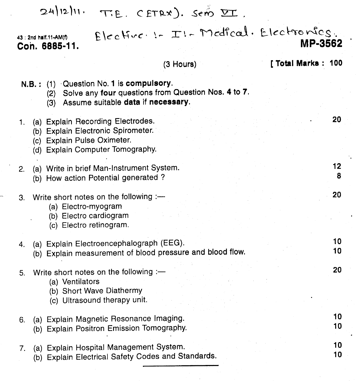#### $24|12|11.$ T.E. CETRX). Sero II.

 $E$   $|c \circ h \circ c| := \mathbb{I}$  :- Medical. Electronics. **MP·3562 .**

#### (3 Hours)

#### [ Total Marks : 100

20

12 8

- N.B.: (1) 'Question No.1 is **compulsory.**
	- (2) Solve any **four** questions from Question Nos. 4 to 7.
	- (3) Assume suitable **data if necessary.**
- 1. (a) Explain Recording Electrodes.
	- (b) Explain Electronic Spirometer.
	- (c) Explain Pulse Oximeter.

43 : 2nd half.11-AM(f) **COn. 6885·11.**

- (d) Explain Computer Tomography.
- 2. (a) Write in brief Man-Instrument System.
	- (b) How action Potential generated?
- 20 3. Write short notes on the following  $:=$ (a) Electro-myogram (b) Electro cardiogram (c) Electro retinogram. 10 4. (a) Explain Electroencephalograph (EEG). (b) Explain measurement of blood pressure and blood flow.  $10$ 20 5. Write short notes on the following  $:=$ (a) Ventilators (b) Short Wave Diathermy (c) Ultrasound therapy unit. 10 6. (a) Explain Magnetic Resonance Imaging. 10 (b) Explain Positron Emission Tomography. 10 7. (a) Explain Hospital Management System. 10
	- (b) Explain Electrical Safety Codes and Standards.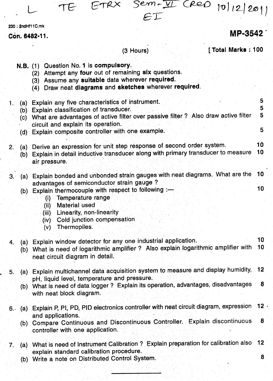$CTRX$  Sem- $\overline{Y}$  (ReD 10/12/201) TE  $ET$ MP-3542

# (3 Hours)

230 : 2ndHf11 C.mk **Con. 6482-11.**

## [ Total Marks: 100

|                                 | N.B. (1) Question No. 1 is compulsory.<br>Attempt any four out of remaining six questions.<br>(2)<br>(3) Assume any suitable data wherever required.<br>(4) Draw neat diagrams and sketches wherever required.                                                                                                                              |                                        |
|---------------------------------|---------------------------------------------------------------------------------------------------------------------------------------------------------------------------------------------------------------------------------------------------------------------------------------------------------------------------------------------|----------------------------------------|
| 1.1<br>(a)<br>(b)<br>(c)<br>(d) | Explain any five characteristics of instrument.<br>Explain classification of transducer.<br>What are advantages of active filter over passive filter ? Also draw active filter<br>circuit and explain its operation.<br>Explain composite controller with one example.                                                                      | 5<br>5<br>$\overline{\mathbf{5}}$<br>5 |
| 2.<br>(a)<br>(b) -              | Derive an expression for unit step response of second order system.<br>Explain in detail inductive transducer along with primary transducer to measure<br>air pressure.                                                                                                                                                                     | 10<br>10                               |
| 3.1<br>`(a) ∶<br>(b)            | Explain bonded and unbonded strain gauges with neat diagrams. What are the<br>advantages of semiconductor strain gauge?<br>Explain thermocouple with respect to following :-<br>Temperature range<br>(i)<br><b>Material used</b><br>(iii)<br>Linearity, non-linearity<br>(iii)<br>Cold junction compensation<br>(iv)<br>Thermopiles.<br>(v) | 10<br>10                               |
| 4.                              | (a) Explain window detector for any one industrial application.<br>(b) What is need of logarithmic amplifier ? Also explain logarithmic amplifier with<br>neat circuit diagram in detail.                                                                                                                                                   | 10<br>10                               |
| (a)<br>5.                       | Explain multichannel data acquisition system to measure and display humidity, 12<br>pH, liquid level, temperature and pressure.<br>(b) What is need of data logger ? Explain its operation, advantages, disadvantages 8<br>with neat block diagram.                                                                                         |                                        |
| 6. .                            | (a) Explain P, PI, PD, PID electronics controller with neat circuit diagram, expression<br>and applications.<br>(b) Compare Continuous and Discontinuous Controller. Explain discontinuous<br>controller with one application.                                                                                                              | 12<br>8                                |
| $7 -$                           | (a) What is need of Instrument Calibration ? Explain preparation for calibration also<br>explain standard calibration procedure.                                                                                                                                                                                                            | 12                                     |

(b) Write a note on Distributed Control System. 8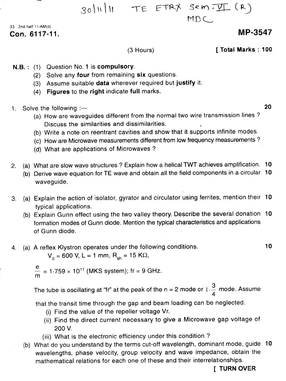TE ETRY Sem - VI (R)  $30|1|11$ 

MDL

33 2nd half 11-AM(d) Con. 6117-11.

## **MP-3547**

10

(3 Hours)

**I Total Marks: 100** 

- N.B.: (1) Question No. 1 is compulsory.
	- (2) Solve any four from remaining six questions.
	- (3) Assume suitable data wherever required but justify it.
	- (4) Figures to the right indicate full marks.
- 1. Solve the following  $\rightarrow$  20
	- (a) How are waveguides different from the normal two wire transmission lines? Discuss the similarities and dissimilarities.
	- (b) Write a note on reentrant cavities and show that it supports infinite modes.
	- (c) How are Microwave measurements different from low frequency measurements?
	- (d) What are applications of Microwaves?
- 2. (a) What are slow wave structures? Explain how a helical TWT achieves amplification. 10
	- (b) Derive wave equation for TE wave and obtain all the field components in a circular 10 waveguide.
- 3. (a) Explain the action of isolator, gyrator and circulator using ferrites, mention their 10 typical applications.
	- (b) Explain Gunn effect using the two valley theory. Describe the several donation 10 formation modes of Gunn diode. Mention the typical characteristics and applications of Gunn diode.
- 4. (a) A reflex Klystron operates under the following conditions.

$$
V_0 = 600
$$
 V, L = 1 mm, R<sub>sh</sub> = 15 K $\Omega$ ,

e  $\frac{6}{10}$  = 1·759  $\times$  10<sup>11</sup> (MKS system); fr = 9 GHz m

The tube is oscillating at "fr" at the peak of the  $n = 2$  mode or  $1 -$  mode. Assum 4

that the transit time through the gap and beam loading can be neglected.

- (i) Find the value of the repeller voltage Vr.
- (ii) Find the direct current necessary to give a Microwave gap voltage of 200 V.
- (iii) What is the electronic efficiency under this condition?
- (b) What do you understand by the terms cut-off wavelength, dominant mode, guide 10 wavelengths, phase velocity, group velocity and wave impedance, obtain the mathematical relations for each one of these and their interrelationships.

[ TURN OVER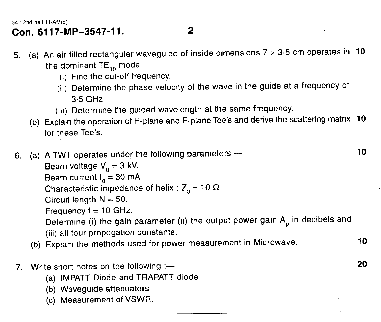34 . 2nd half.11-AM(d)

# **Con. 6117-MP-3547-11.**

5. (a) An air filled rectangular waveguide of inside dimensions  $7 \times 3.5$  cm operates in 10 the dominant  $TE_{10}$  mode.

 $\overline{2}$ 

- (i) Find the cut-off frequency.
- (ii) Determine the phase velocity of the wave in the guide at a frequency of 3·5 GHz.
- (iii) Determine the guided wavelength at the same frequency.
- (b) Explain the operation of H-plane and E-plane Tee's and derive the scattering matrix 10 for these Tee's.
- 6. (a) A TWT operates under the following parameters The matter of the state of the state of the state of the state of the state of the state of the state of the state of the state of the state of the state of the state

Beam voltage  $V_0 = 3$  kV.

Beam current  $I_0 = 30$  mA.

Characteristic impedance of helix :  $Z_0 = 10 \Omega$ 

Circuit length  $N = 50$ .

Frequency  $f = 10$  GHz.

Determine (i) the gain parameter (ii) the output power gain  $\mathsf{A}_\mathsf{p}$  in decibels and (iii) all four propogation constants.

- (b) Explain the methods used for power measurement in Microwave. 10
- 7. Write short notes on the following :--- **20** 
	- (a) IMPATT Diode and TRAPATT diode
	- (b) Waveguide attenuators
	- (c) Measurement of VSWR.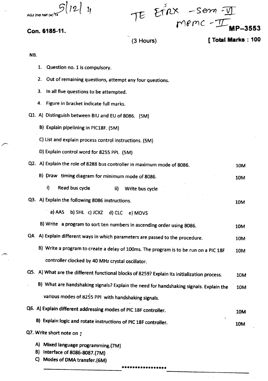$12$ 

Con. 6185-11.

Et nx -sem  $M$  $R$ <sup>- $\pi$ </sup>  $M$ <sup> $R$ </sup> $-35$ 

(3 Hours)

## **[ Total Marks : 100**

10M

**10M** 

NB.

- 1. Question no. 1 is compulsory.
- 2. Out of remaining questions, attempt any four questions.
- 3. In all five questions to be attempted.
- 4. Figure in bracket indicate full marks.
- Q1. A) Distinguish between BIU and EU of 8086. (5M)
	- B) Explain pipelining in PIC18F. (5M)
	- C) List and explain process control instructions. (5M)
	- D) Explain control word for 8255 PPI. (5M)
- Q2. A) Explain the role of 8288 bus controller in maximum mode of 8086. 10M
	- B) Draw timing diagram for minimum mode of 8086. **10M** 
		- i) Read bus cycle  $\mathbf{ii}$ Write bus cycle
- Q3. A) Explain the following 8086 instructions.
	- a) AAS b) SHL c) JCXZ d) CLC e) MOVS
	- B) Write a program to sort ten numbers in ascending order using 8086. 10M
- Q4. A) Explain different ways in which parameters are passed to the procedure. 10M
	- B) Write a program to create a delay of 100ms. The program is to be run on a PIC 18F 10M controller clocked by 40 MHz crystal oscillator.
- Q5. A) What are the different functional blocks of 8259? Explain its initialization process. 10M
	- B) What are handshaking signals? Explain the need for handshaking signals. Explain the 10M various modes of 8255 PPI with handshaking signals.

### Q6. A) Explain different addressing modes of PIC 18F controller. **10M**

B) Explain logic and rotate instructions of PIC 18F controller.

- Q7. Write short note on :
	- A) Mixed language programming.(7M)
	- B) Interface of 8086-8087.(7M)
	- C) Modes of OMA transfer.(6M)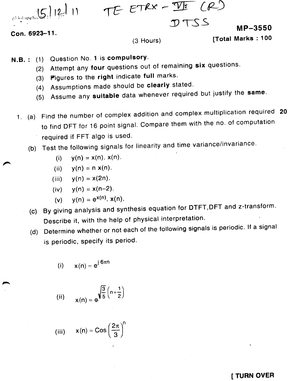TE- *E~ -* :TI!- *[(L!)*

DTSS

Con. 6923-11.

p3-ksl-upq-Scot 5 | 12 | 11

#### (3 Hours)

w.  $\sim$  3500  $\sigma$ 

 $\frac{1}{1}$  order matrix  $\frac{1}{100}$ 

- N.B.: (1) Question No. 1 is compulsory.
	- (2) Attempt any four questions out of remaining six questions.
	- (3) Figures to the right indicate full marks.
	- (4) Assumptions made should be clearly stated.
	- (5) Assume any suitable data whenever required but justify the same.
	- 1. (a) Find the number of complex addition and complex multiplication required 20 to find OFT for 16 point signal. Compare them with the no. of computation required if FFT algo is used.
		- (b) Test the following signals for linearity and time variance/invariance.

(i) 
$$
y(n) = x(n)
$$
.  $x(n)$ .

(ii) 
$$
y(n) = n x(n)
$$
.

$$
(iii) \t y(n) = x(2n).
$$

$$
(iv) \qquad y(n) = x(n-2).
$$

(v) 
$$
y(n) = e^{x(n)}
$$
.  $x(n)$ .

- (c) By giving analysis and synthesis equation for DTFT,DFT and z-transform. Describe it, with the help of physical interpretation.
- (d) Determine whether or not each of the following signals is periodic. If a signal is periodic, specify its period.

$$
(i) \qquad x(n) = e^{j 6\pi n}
$$

(ii) 
$$
x(n) = e^{\sqrt{\frac{3}{5}} (n + \frac{1}{2})}
$$

(iii) 
$$
x(n) = \text{Cos}\left(\frac{2\pi}{3}\right)^n
$$

#### **I TURN OVER**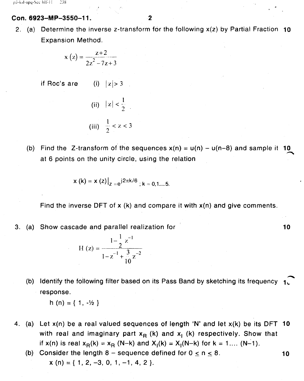#### Con. 6923-MP-3550-11.

2. (a) Determine the inverse z-transform for the following  $x(z)$  by Partial Fraction 10 Expansion Method.

$$
x(z) = \frac{z+2}{2z^2-7z+3}
$$

if Roc's are (i)  $|z| > 3$ 

- (ii)  $|z| < \frac{1}{2}$ (iii)  $\frac{1}{2} < z < 3$
- (b) Find the Z-transform of the sequences  $x(n) = u(n) u(n-8)$  and sample it 10 """'" at 6 points on the unity circle, using the relation

$$
x(k) = x(z)|_{z = e^{j2\pi k/6}; k = 0,1,...,5}
$$

Find the inverse DFT of  $x$  (k) and compare it with  $x(n)$  and give comments.

3. (a) Show cascade and parallel realization for

$$
H(z) = \frac{1 - \frac{1}{2}z^{-1}}{1 - z^{-1} + \frac{3}{10}z^{-2}}
$$

(b) Identify the following filter based on its Pass Band by sketching its frequency  $\,\mathbf{1}$   $\,$ response.

h (n) = { 1,  $-\frac{1}{2}$  }

- 4. (a) Let  $x(n)$  be a real valued sequences of length 'N' and let  $x(k)$  be its DFT 10 with real and imaginary part  $x_R$  (k) and  $x_I$  (k) respectively. Show that if  $x(n)$  is real  $x_R(k) = x_R$  (N-k) and  $X_1(k) = X_1(N-k)$  for  $k = 1...$  (N-1).
	- (b) Consider the length  $8$  sequence defined for  $0 \le n \le 8$ . **10**  $x(n) = \{ 1, 2, -3, 0, 1, -1, 4, 2 \}.$

10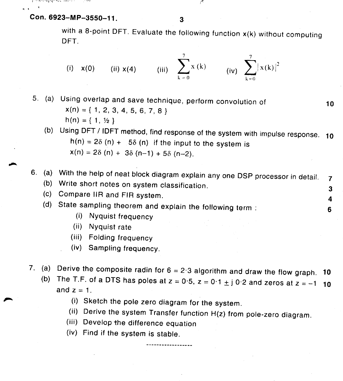Con. 6923-MP-3550-11.

 $\overline{\mathbf{3}}$ 

with a 8-point DFT. Evaluate the following function  $x(k)$  without computing DFT.

(i) 
$$
x(0)
$$
 (ii)  $x(4)$  (iii)  $\sum_{k=0}^{7} x(k)$  (iv)  $\sum_{k=0}^{7} |x(k)|^2$ 

5. (a) Using overlap and save technique, perform convolution of **10**  $x(n) = \{ 1, 2, 3, 4, 5, 6, 7, 8 \}$  $h(n) = \{ 1, \frac{1}{2} \}$ 

(b) Using DFT / 10FT method, find response of the system with impulse response. **10** h(n) =  $2\delta$  (n) + 5 $\delta$  (n) if the input to the system is  $x(n) = 2\delta (n) + 3\delta (n-1) + 5\delta (n-2).$ 

6. (a) With the help of neat block diagram explain any one DSP processor in detail. 7

(b) Write short notes on system classification. 3

(c) Compare IIR and FIR system. 4

(d) State sampling theorem and explain the following term: 6

- (i) Nyquist frequency
- (ii) Nyquist rate
- (iii) Folding frequency
- (iv) Sampling frequency.
- 7. (a) Derive the composite radin for  $6 = 2.3$  algorithm and draw the flow graph. **10** (b) The T.F. of a DTS has poles at  $z = 0.5$ ,  $z = 0.1 \pm j 0.2$  and zeros at  $z = -1$  **10**

. . . . . . . . . . . . .

and  $z = 1$ .

- (i) Sketch the pole zero diagram for the system.
- (ii) Derive the system Transfer function H(z) from pole-zero diagram.
- (iii) Develop the difference equation
- (iv) Find it the system is stable.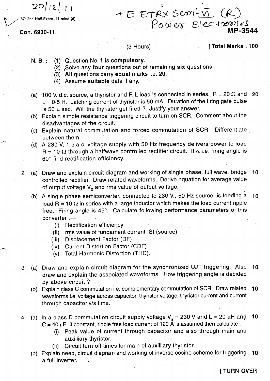$20|12|$   $1$  )<br>87: 2nd Half-Exam.-11 mine (d).

Con. 6930-11.

# $TE$  ETRX Sem-VI (R) Power Electron **. MP-3544**

#### $(3$  Hours)

[Total Marks: 100

- N. B.: (1) Question No.1 is compulsory.
	- (2) ,Solve any four questions out of remaining six questions.
	- (3) All questions carry equal marks i.e. 20.
	- (4) Assume suitable data if any.
- 1. (a) 100 V. d.c. source, a thyristor and R-L load is connected in series.  $R = 20 \Omega$  and 20  $L = 0.5$  H. Latching current of thyristor is 50 mA. Duration of the firing gate pulse is 50  $\mu$  sec. Will the thyristor get fired ? Justify your answer.
	- (b) Explain simple resistance triggering circuit to turn on SCR. Comment about the disadvantages of the circuit.
	- (c) Explain natural commutation and forced commutation of SCR. Differentiate between them.
	- (d) A 230 V, 1  $\phi$  a.c. voltage supply with 50 Hz frequency delivers power to load  $R = 10 \Omega$  through a halfwave controlled rectifier circuit. If  $\alpha$  i.e. firing angle is 60° find rectification efficiency.
- 2. (a) Draw and explain circuit diagram and working of single phase, full wave, bridge 10 controlled rectifier. Draw related waveforms. Derive equation for average value of output voltage  $V_0$  and rms value of output voltage.
	- (b) A single phase semiconverter, connected to 230 V., 50 Hz source, is feeding a 10 load R = 10  $\Omega$  in series with a large inductor which makes the load current ripple free. Firing angle is 45°. Calculate following performance parameters of this  $converter :=$ 
		- (i) Rectification efficiency
		- (ii) wrms value of fundament current ISI (source
		- (iii) Displacement Factor (OF)
		- (iv) Current Distortion Factor (CDF)
		- (v) Total Harmonic Distortion (THO).
- 3. (a) Draw and explain circuit diagram for the synchronized UJT triggering. Also 10 draw and explain the associated waveforms. How triggering angle is decided by above circuit?
	- (b) Explain class C commutation i.e. complementary commutation of SCR. Draw related 10 waveforms i.e. voltage across capacitor, thyristor voltage, thyristor current and current through capacitor *vis* time.
- 4. (a) In a class D commutation circuit supply voltage  $V_s = 230$  V and L = 20  $\mu$ H and 10  $C = 40 \mu F$ . If constant, ripple free load current of 120 A is assumed then calculate :-
	- (i) Peak value of current through capacitor and also through main and
		- auxilliary thyristor.
	- (ii) Circuit turn off times for main of auxilliary thyristor.
	- (b) Explain need, circuit diagram and working of inverse cosine scheme for triggering 10 a full inverter.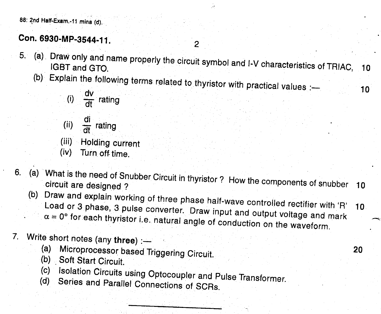88: 2nd Half-Exam.-11 mina (d).

# Con. 6930-MP-3544-11.

(a) Draw only and name properly the circuit symbol and I-V characteristics of TRIAC, 10<br>IGBT and GTO  $5.$ 

 $\overline{2}$ 

- Explain the follo  $\mathcal{B}$  is the following trivial values  $\mathcal{B}$ .
	- $v_{\rm eff}$  raung
	- $\frac{m}{d\tau}$  rat dt <sup>rating</sup> (ii)

Holding current (iii)

- Turn off time. (iv)
- 6. (a) What is the need of Snubber Circuit in thyristor? How the components of snubber 10 circuit are designed ?
	- (b) Draw and explain working of three phase half-wave controlled rectifier with 'R' Load or 3 phase, 3 pulse converter. Draw input and output voltage and mark  $\alpha = 0^{\circ}$  for each thyristor i.e. natural angle of conduction on the waveform.
- Write short notes (any three)  $:=$ 
	- (a) Microprocessor based Triggering Circuit.
	- (b) Soft Start Circuit.
	- (c) Isolation Circuits using Optocoupler and Pulse Transformer.
	- (d) Series and Parallel Connections of SCAs.

20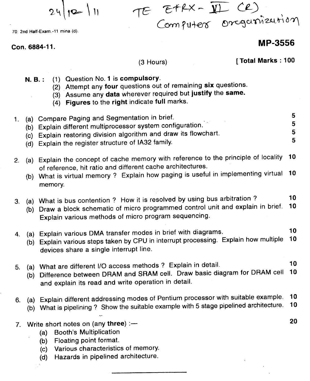$24|12|11$ 

70: 2nd Half-Exam.-11 mina (d).

Con. 6884-11.

## **MP-3556**

#### $(3$  Hours)

[Total Marks: 100

 $E+EX - \overline{Y\!\!\!\perp}$  CR)

Computer organization

- N. B.: (1) Question No. 1 is compulsory.
	- (2) Attempt any four questions out of remaining six questions.
	- (3) Assume any data wherever required but justify the same.
	- (4) Figures to the right indicate full marks.

|  | I. (a) Compare Paging and Segmentation in brief.           |  |
|--|------------------------------------------------------------|--|
|  |                                                            |  |
|  | (b) Explain different multiprocessor system configuration. |  |
|  |                                                            |  |
|  |                                                            |  |

- (c) Explain restoring division algorithm and draw its flowchart.
	- (d) Explain the register structure of IA32 family.

| 2. | (a) Explain the concept of cache memory with reference to the principle of locality 10<br>of reference, hit ratio and different cache architectures.<br>(b) What is virtual memory ? Explain how paging is useful in implementing virtual 10<br>memory. |    |
|----|---------------------------------------------------------------------------------------------------------------------------------------------------------------------------------------------------------------------------------------------------------|----|
| З. | (a) What is bus contention ? How it is resolved by using bus arbitration ?<br>(b) Draw a block schematic of micro programmed control unit and explain in brief. 10<br>Explain various methods of micro program sequencing.                              | 10 |
|    | 4. (a) Explain various DMA transfer modes in brief with diagrams.                                                                                                                                                                                       | 10 |

- $\overline{b}$ ). Explain various steps taken by CPU in interrupt processing. Explain how multiple 10 devices share a single interrupt line.
- 5. (a) What are different I/O access methods? Explain in detail. 10
	- (b) Difference between DRAM and SRAM cell. Draw basic diagram for DRAM cell 10 and explain its read and write operation in detail.
- 6. (a) Explain different addressing modes of Pentium processor with suitable example. 10
	- (b) What is pipelining? Show the suitable example with 5 stage pipelined architecture. 10
- 7. Write short notes on (any three)  $:=$ 
	- (a) Booth's Multiplication
	- (b) Floating point format.
	- (c) Various characteristics of memory.
	- (d) Hazards in pipelined architecture.

20

5